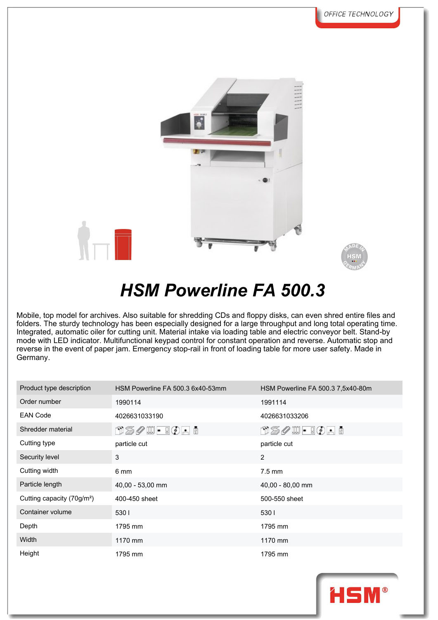



## *HSM Powerline FA 500.3*

Mobile, top model for archives. Also suitable for shredding CDs and floppy disks, can even shred entire files and folders. The sturdy technology has been especially designed for a large throughput and long total operating time. Integrated, automatic oiler for cutting unit. Material intake via loading table and electric conveyor belt. Stand-by mode with LED indicator. Multifunctional keypad control for constant operation and reverse. Automatic stop and reverse in the event of paper jam. Emergency stop-rail in front of loading table for more user safety. Made in Germany.

| Product type description               | HSM Powerline FA 500.3 6x40-53mm                                                                                                                    | HSM Powerline FA 500.3 7,5x40-80m                                                                                                            |
|----------------------------------------|-----------------------------------------------------------------------------------------------------------------------------------------------------|----------------------------------------------------------------------------------------------------------------------------------------------|
| Order number                           | 1990114                                                                                                                                             | 1991114                                                                                                                                      |
| <b>EAN Code</b>                        | 4026631033190                                                                                                                                       | 4026631033206                                                                                                                                |
| Shredder material                      | $\textcolor{red}{\textbf{DSSQ}} \textcolor{red}{\textbf{DQ}} \textcolor{red}{\textbf{-QQ}} \textcolor{red}{\textbf{A} \textcolor{red}{\textbf{B}}}$ | $\textcolor{red}{\textbf{DSSQ}} \bullet \textcolor{red}{\textbf{E}} \bullet \textcolor{red}{\textbf{E}} \bullet \textcolor{red}{\textbf{E}}$ |
| Cutting type                           | particle cut                                                                                                                                        | particle cut                                                                                                                                 |
| Security level                         | 3                                                                                                                                                   | $\mathbf{2}$                                                                                                                                 |
| Cutting width                          | 6 mm                                                                                                                                                | $7.5 \text{ mm}$                                                                                                                             |
| Particle length                        | 40,00 - 53,00 mm                                                                                                                                    | 40,00 - 80,00 mm                                                                                                                             |
| Cutting capacity (70g/m <sup>2</sup> ) | 400-450 sheet                                                                                                                                       | 500-550 sheet                                                                                                                                |
| Container volume                       | 5301                                                                                                                                                | 5301                                                                                                                                         |
| Depth                                  | 1795 mm                                                                                                                                             | 1795 mm                                                                                                                                      |
| Width                                  | 1170 mm                                                                                                                                             | 1170 mm                                                                                                                                      |
| Height                                 | 1795 mm                                                                                                                                             | 1795 mm                                                                                                                                      |